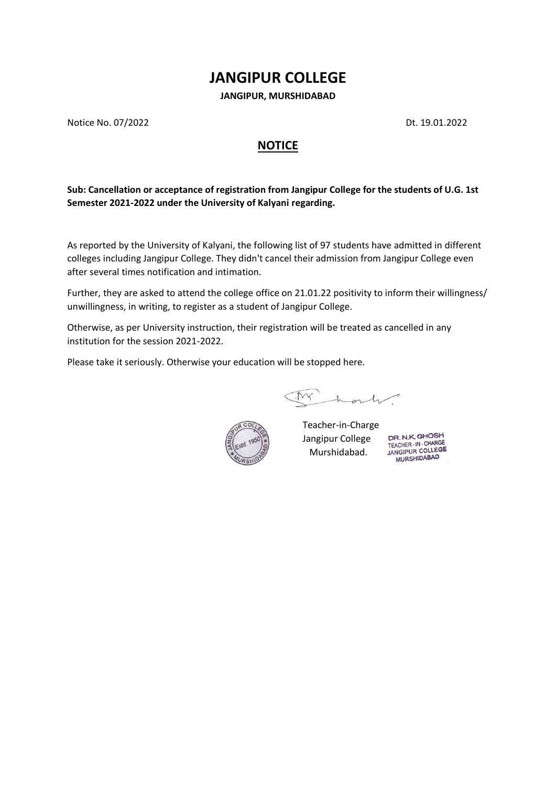## **JANGIPUR COLLEGE**

**JANGIPUR, MURSHIDABAD**

Notice No. 07/2022 Dt. 19.01.2022

## **NOTICE**

**Sub: Cancellation or acceptance of registration from Jangipur College for the students of U.G. 1st Semester 2021-2022 under the University of Kalyani regarding.** 

As reported by the University of Kalyani, the following list of 97 students have admitted in different colleges including Jangipur College. They didn't cancel their admission from Jangipur College even after several times notification and intimation.

Further, they are asked to attend the college office on 21.01.22 positivity to inform their willingness/ unwillingness, in writing, to register as a student of Jangipur College.

Otherwise, as per University instruction, their registration will be treated as cancelled in any institution for the session 2021-2022.

Please take it seriously. Otherwise your education will be stopped here.

Mr host



Teacher-in-Charge Jangipur College Murshidabad.

DR. N.K. GHOSH TEACHER-IN-CHARGE **MURSHIDABAD**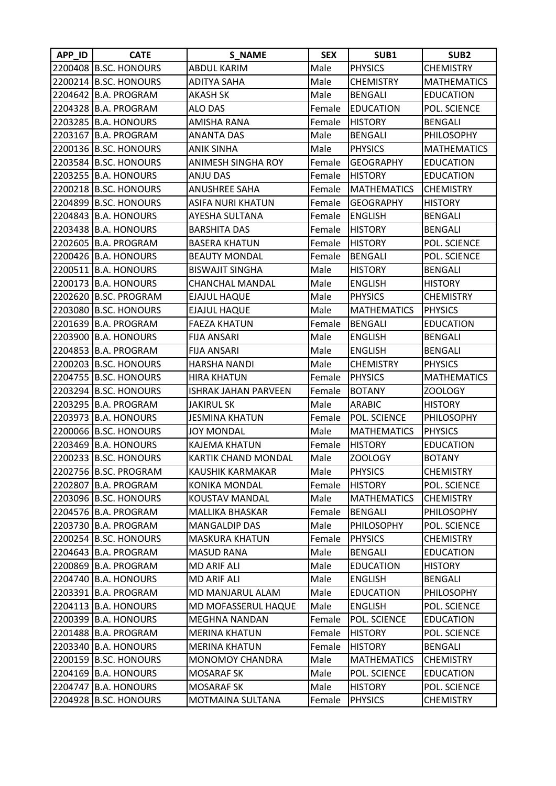| APP_ID  | <b>CATE</b>           | <b>S_NAME</b>               | <b>SEX</b> | SUB1               | SUB <sub>2</sub>   |
|---------|-----------------------|-----------------------------|------------|--------------------|--------------------|
|         | 2200408 B.SC. HONOURS | <b>ABDUL KARIM</b>          | Male       | <b>PHYSICS</b>     | <b>CHEMISTRY</b>   |
| 2200214 | <b>B.SC. HONOURS</b>  | <b>ADITYA SAHA</b>          | Male       | <b>CHEMISTRY</b>   | <b>MATHEMATICS</b> |
| 2204642 | <b>B.A. PROGRAM</b>   | <b>AKASH SK</b>             | Male       | <b>BENGALI</b>     | <b>EDUCATION</b>   |
|         | 2204328 B.A. PROGRAM  | <b>ALO DAS</b>              | Female     | <b>IEDUCATION</b>  | POL. SCIENCE       |
|         | 2203285 B.A. HONOURS  | <b>AMISHA RANA</b>          | Female     | <b>HISTORY</b>     | <b>BENGALI</b>     |
|         | 2203167 B.A. PROGRAM  | <b>ANANTA DAS</b>           | Male       | <b>BENGALI</b>     | PHILOSOPHY         |
|         | 2200136 B.SC. HONOURS | <b>ANIK SINHA</b>           | Male       | <b>PHYSICS</b>     | <b>MATHEMATICS</b> |
|         | 2203584 B.SC. HONOURS | ANIMESH SINGHA ROY          | Female     | <b>GEOGRAPHY</b>   | <b>EDUCATION</b>   |
|         | 2203255 B.A. HONOURS  | <b>ANJU DAS</b>             | Female     | <b>HISTORY</b>     | <b>EDUCATION</b>   |
|         | 2200218 B.SC. HONOURS | <b>ANUSHREE SAHA</b>        | Female     | <b>MATHEMATICS</b> | <b>CHEMISTRY</b>   |
|         | 2204899 B.SC. HONOURS | <b>ASIFA NURI KHATUN</b>    | Female     | <b>GEOGRAPHY</b>   | <b>HISTORY</b>     |
| 2204843 | <b>B.A. HONOURS</b>   | AYESHA SULTANA              | Female     | <b>ENGLISH</b>     | <b>BENGALI</b>     |
|         | 2203438 B.A. HONOURS  | <b>BARSHITA DAS</b>         | Female     | <b>HISTORY</b>     | <b>BENGALI</b>     |
|         | 2202605 B.A. PROGRAM  | <b>BASERA KHATUN</b>        | Female     | <b>HISTORY</b>     | POL. SCIENCE       |
|         | 2200426 B.A. HONOURS  | <b>BEAUTY MONDAL</b>        | Female     | <b>BENGALI</b>     | POL. SCIENCE       |
|         | 2200511 B.A. HONOURS  | <b>BISWAJIT SINGHA</b>      | Male       | <b>HISTORY</b>     | <b>BENGALI</b>     |
|         | 2200173 B.A. HONOURS  | <b>CHANCHAL MANDAL</b>      | Male       | <b>ENGLISH</b>     | <b>HISTORY</b>     |
|         | 2202620 B.SC. PROGRAM | <b>EJAJUL HAQUE</b>         | Male       | <b>PHYSICS</b>     | <b>CHEMISTRY</b>   |
|         | 2203080 B.SC. HONOURS | <b>EJAJUL HAQUE</b>         | Male       | <b>MATHEMATICS</b> | <b>PHYSICS</b>     |
|         | 2201639 B.A. PROGRAM  | <b>FAEZA KHATUN</b>         | Female     | <b>BENGALI</b>     | <b>EDUCATION</b>   |
|         | 2203900 B.A. HONOURS  | <b>FIJA ANSARI</b>          | Male       | <b>ENGLISH</b>     | <b>BENGALI</b>     |
| 2204853 | <b>B.A. PROGRAM</b>   | <b>FIJA ANSARI</b>          | Male       | <b>ENGLISH</b>     | <b>BENGALI</b>     |
|         | 2200203 B.SC. HONOURS | <b>HARSHA NANDI</b>         | Male       | <b>CHEMISTRY</b>   | <b>PHYSICS</b>     |
|         | 2204755 B.SC. HONOURS | <b>HIRA KHATUN</b>          | Female     | <b>PHYSICS</b>     | <b>MATHEMATICS</b> |
|         | 2203294 B.SC. HONOURS | <b>ISHRAK JAHAN PARVEEN</b> | Female     | <b>BOTANY</b>      | ZOOLOGY            |
| 2203295 | <b>B.A. PROGRAM</b>   | <b>JAKIRUL SK</b>           | Male       | <b>ARABIC</b>      | <b>HISTORY</b>     |
| 2203973 | <b>B.A. HONOURS</b>   | <b>JESMINA KHATUN</b>       | Female     | POL. SCIENCE       | <b>PHILOSOPHY</b>  |
|         | 2200066 B.SC. HONOURS | <b>JOY MONDAL</b>           | Male       | <b>MATHEMATICS</b> | <b>PHYSICS</b>     |
| 2203469 | <b>B.A. HONOURS</b>   | <b>KAJEMA KHATUN</b>        | Female     | <b>HISTORY</b>     | <b>EDUCATION</b>   |
|         | 2200233 B.SC. HONOURS | KARTIK CHAND MONDAL         | Male       | ZOOLOGY            | <b>BOTANY</b>      |
|         | 2202756 B.SC. PROGRAM | KAUSHIK KARMAKAR            | Male       | <b>PHYSICS</b>     | <b>CHEMISTRY</b>   |
|         | 2202807 B.A. PROGRAM  | KONIKA MONDAL               | Female     | <b>HISTORY</b>     | POL. SCIENCE       |
|         | 2203096 B.SC. HONOURS | KOUSTAV MANDAL              | Male       | <b>MATHEMATICS</b> | <b>CHEMISTRY</b>   |
|         | 2204576 B.A. PROGRAM  | <b>MALLIKA BHASKAR</b>      | Female     | BENGALI            | PHILOSOPHY         |
| 2203730 | <b>B.A. PROGRAM</b>   | <b>MANGALDIP DAS</b>        | Male       | PHILOSOPHY         | POL. SCIENCE       |
|         | 2200254 B.SC. HONOURS | <b>MASKURA KHATUN</b>       | Female     | <b>PHYSICS</b>     | <b>CHEMISTRY</b>   |
| 2204643 | <b>B.A. PROGRAM</b>   | <b>MASUD RANA</b>           | Male       | <b>BENGALI</b>     | <b>EDUCATION</b>   |
| 2200869 | <b>B.A. PROGRAM</b>   | MD ARIF ALI                 | Male       | <b>EDUCATION</b>   | <b>HISTORY</b>     |
| 2204740 | <b>B.A. HONOURS</b>   | MD ARIF ALI                 | Male       | <b>ENGLISH</b>     | <b>BENGALI</b>     |
| 2203391 | <b>B.A. PROGRAM</b>   | MD MANJARUL ALAM            | Male       | <b>EDUCATION</b>   | PHILOSOPHY         |
| 2204113 | <b>B.A. HONOURS</b>   | MD MOFASSERUL HAQUE         | Male       | <b>ENGLISH</b>     | POL. SCIENCE       |
|         | 2200399 B.A. HONOURS  | MEGHNA NANDAN               | Female     | POL. SCIENCE       | <b>EDUCATION</b>   |
|         | 2201488 B.A. PROGRAM  | <b>MERINA KHATUN</b>        | Female     | <b>HISTORY</b>     | POL. SCIENCE       |
| 2203340 | <b>B.A. HONOURS</b>   | <b>MERINA KHATUN</b>        | Female     | <b>HISTORY</b>     | <b>BENGALI</b>     |
|         | 2200159 B.SC. HONOURS | MONOMOY CHANDRA             | Male       | <b>MATHEMATICS</b> | <b>CHEMISTRY</b>   |
| 2204169 | <b>B.A. HONOURS</b>   | <b>MOSARAF SK</b>           | Male       | POL. SCIENCE       | <b>EDUCATION</b>   |
| 2204747 | <b>B.A. HONOURS</b>   | <b>MOSARAF SK</b>           | Male       | <b>HISTORY</b>     | POL. SCIENCE       |
| 2204928 | <b>B.SC. HONOURS</b>  | MOTMAINA SULTANA            | Female     | <b>PHYSICS</b>     | <b>CHEMISTRY</b>   |